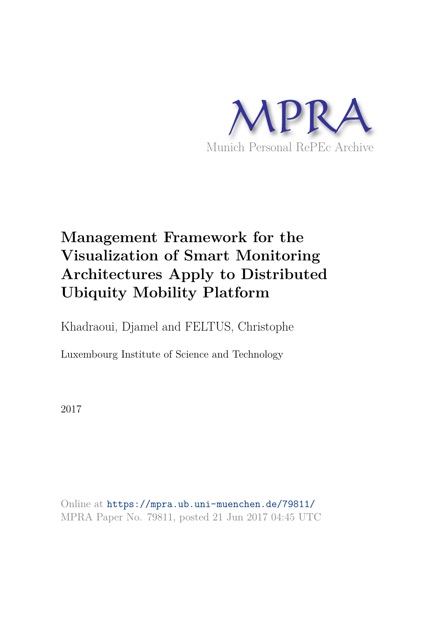

# **Management Framework for the Visualization of Smart Monitoring Architectures Apply to Distributed Ubiquity Mobility Platform**

Khadraoui, Djamel and FELTUS, Christophe

Luxembourg Institute of Science and Technology

2017

Online at https://mpra.ub.uni-muenchen.de/79811/ MPRA Paper No. 79811, posted 21 Jun 2017 04:45 UTC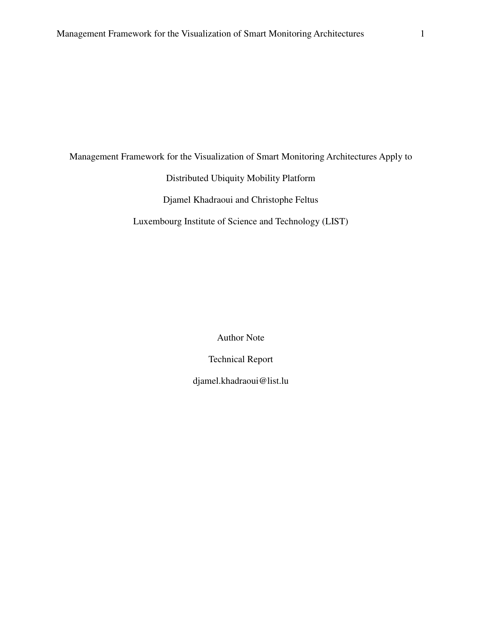Management Framework for the Visualization of Smart Monitoring Architectures Apply to

Distributed Ubiquity Mobility Platform

Djamel Khadraoui and Christophe Feltus

Luxembourg Institute of Science and Technology (LIST)

Author Note

Technical Report

djamel.khadraoui@list.lu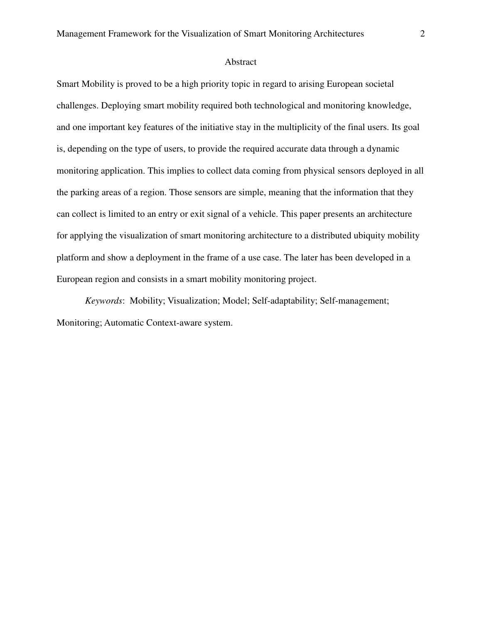## Abstract

Smart Mobility is proved to be a high priority topic in regard to arising European societal challenges. Deploying smart mobility required both technological and monitoring knowledge, and one important key features of the initiative stay in the multiplicity of the final users. Its goal is, depending on the type of users, to provide the required accurate data through a dynamic monitoring application. This implies to collect data coming from physical sensors deployed in all the parking areas of a region. Those sensors are simple, meaning that the information that they can collect is limited to an entry or exit signal of a vehicle. This paper presents an architecture for applying the visualization of smart monitoring architecture to a distributed ubiquity mobility platform and show a deployment in the frame of a use case. The later has been developed in a European region and consists in a smart mobility monitoring project.

*Keywords*: Mobility; Visualization; Model; Self-adaptability; Self-management; Monitoring; Automatic Context-aware system.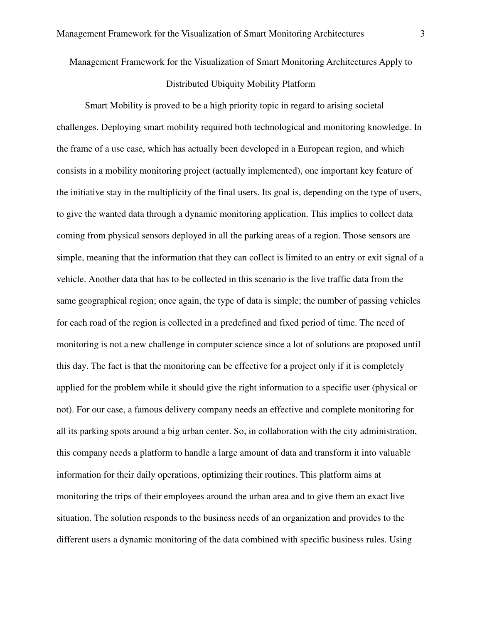Management Framework for the Visualization of Smart Monitoring Architectures Apply to

## Distributed Ubiquity Mobility Platform

Smart Mobility is proved to be a high priority topic in regard to arising societal challenges. Deploying smart mobility required both technological and monitoring knowledge. In the frame of a use case, which has actually been developed in a European region, and which consists in a mobility monitoring project (actually implemented), one important key feature of the initiative stay in the multiplicity of the final users. Its goal is, depending on the type of users, to give the wanted data through a dynamic monitoring application. This implies to collect data coming from physical sensors deployed in all the parking areas of a region. Those sensors are simple, meaning that the information that they can collect is limited to an entry or exit signal of a vehicle. Another data that has to be collected in this scenario is the live traffic data from the same geographical region; once again, the type of data is simple; the number of passing vehicles for each road of the region is collected in a predefined and fixed period of time. The need of monitoring is not a new challenge in computer science since a lot of solutions are proposed until this day. The fact is that the monitoring can be effective for a project only if it is completely applied for the problem while it should give the right information to a specific user (physical or not). For our case, a famous delivery company needs an effective and complete monitoring for all its parking spots around a big urban center. So, in collaboration with the city administration, this company needs a platform to handle a large amount of data and transform it into valuable information for their daily operations, optimizing their routines. This platform aims at monitoring the trips of their employees around the urban area and to give them an exact live situation. The solution responds to the business needs of an organization and provides to the different users a dynamic monitoring of the data combined with specific business rules. Using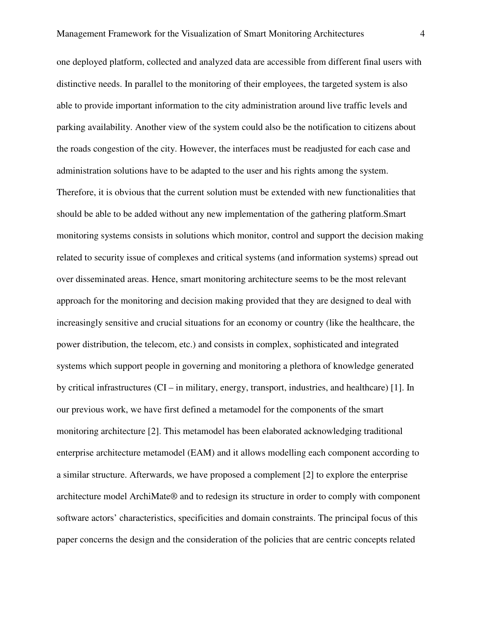one deployed platform, collected and analyzed data are accessible from different final users with distinctive needs. In parallel to the monitoring of their employees, the targeted system is also able to provide important information to the city administration around live traffic levels and parking availability. Another view of the system could also be the notification to citizens about the roads congestion of the city. However, the interfaces must be readjusted for each case and administration solutions have to be adapted to the user and his rights among the system. Therefore, it is obvious that the current solution must be extended with new functionalities that should be able to be added without any new implementation of the gathering platform.Smart monitoring systems consists in solutions which monitor, control and support the decision making related to security issue of complexes and critical systems (and information systems) spread out over disseminated areas. Hence, smart monitoring architecture seems to be the most relevant approach for the monitoring and decision making provided that they are designed to deal with increasingly sensitive and crucial situations for an economy or country (like the healthcare, the power distribution, the telecom, etc.) and consists in complex, sophisticated and integrated systems which support people in governing and monitoring a plethora of knowledge generated by critical infrastructures (CI – in military, energy, transport, industries, and healthcare) [1]. In our previous work, we have first defined a metamodel for the components of the smart monitoring architecture [2]. This metamodel has been elaborated acknowledging traditional enterprise architecture metamodel (EAM) and it allows modelling each component according to a similar structure. Afterwards, we have proposed a complement [2] to explore the enterprise architecture model ArchiMate® and to redesign its structure in order to comply with component software actors' characteristics, specificities and domain constraints. The principal focus of this paper concerns the design and the consideration of the policies that are centric concepts related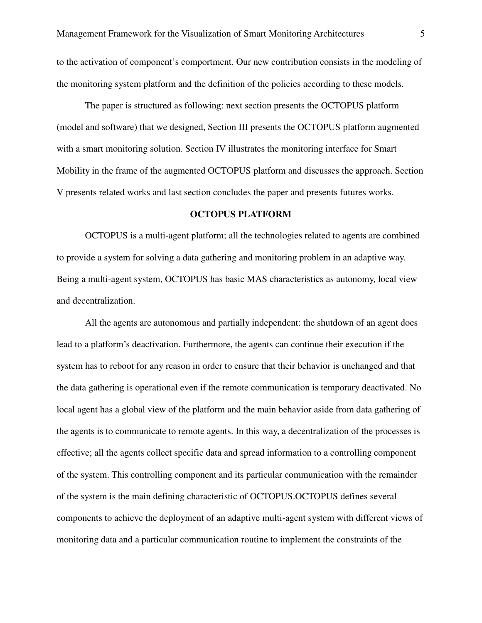to the activation of component's comportment. Our new contribution consists in the modeling of the monitoring system platform and the definition of the policies according to these models.

The paper is structured as following: next section presents the OCTOPUS platform (model and software) that we designed, Section III presents the OCTOPUS platform augmented with a smart monitoring solution. Section IV illustrates the monitoring interface for Smart Mobility in the frame of the augmented OCTOPUS platform and discusses the approach. Section V presents related works and last section concludes the paper and presents futures works.

#### **OCTOPUS PLATFORM**

OCTOPUS is a multi-agent platform; all the technologies related to agents are combined to provide a system for solving a data gathering and monitoring problem in an adaptive way. Being a multi-agent system, OCTOPUS has basic MAS characteristics as autonomy, local view and decentralization.

All the agents are autonomous and partially independent: the shutdown of an agent does lead to a platform's deactivation. Furthermore, the agents can continue their execution if the system has to reboot for any reason in order to ensure that their behavior is unchanged and that the data gathering is operational even if the remote communication is temporary deactivated. No local agent has a global view of the platform and the main behavior aside from data gathering of the agents is to communicate to remote agents. In this way, a decentralization of the processes is effective; all the agents collect specific data and spread information to a controlling component of the system. This controlling component and its particular communication with the remainder of the system is the main defining characteristic of OCTOPUS.OCTOPUS defines several components to achieve the deployment of an adaptive multi-agent system with different views of monitoring data and a particular communication routine to implement the constraints of the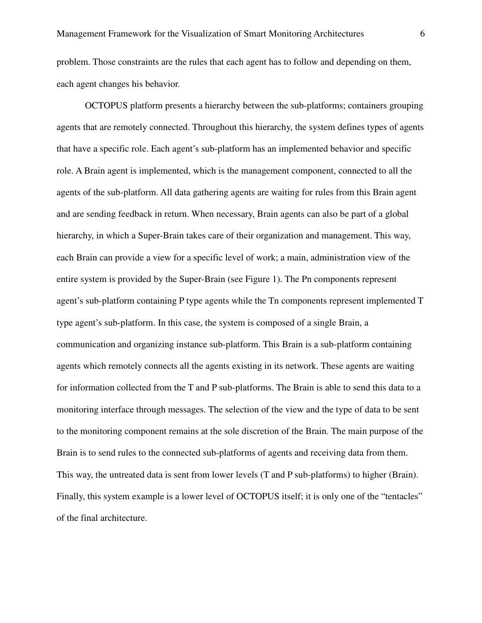problem. Those constraints are the rules that each agent has to follow and depending on them, each agent changes his behavior.

OCTOPUS platform presents a hierarchy between the sub-platforms; containers grouping agents that are remotely connected. Throughout this hierarchy, the system defines types of agents that have a specific role. Each agent's sub-platform has an implemented behavior and specific role. A Brain agent is implemented, which is the management component, connected to all the agents of the sub-platform. All data gathering agents are waiting for rules from this Brain agent and are sending feedback in return. When necessary, Brain agents can also be part of a global hierarchy, in which a Super-Brain takes care of their organization and management. This way, each Brain can provide a view for a specific level of work; a main, administration view of the entire system is provided by the Super-Brain (see Figure 1). The Pn components represent agent's sub-platform containing P type agents while the Tn components represent implemented T type agent's sub-platform. In this case, the system is composed of a single Brain, a communication and organizing instance sub-platform. This Brain is a sub-platform containing agents which remotely connects all the agents existing in its network. These agents are waiting for information collected from the T and P sub-platforms. The Brain is able to send this data to a monitoring interface through messages. The selection of the view and the type of data to be sent to the monitoring component remains at the sole discretion of the Brain. The main purpose of the Brain is to send rules to the connected sub-platforms of agents and receiving data from them. This way, the untreated data is sent from lower levels (T and P sub-platforms) to higher (Brain). Finally, this system example is a lower level of OCTOPUS itself; it is only one of the "tentacles" of the final architecture.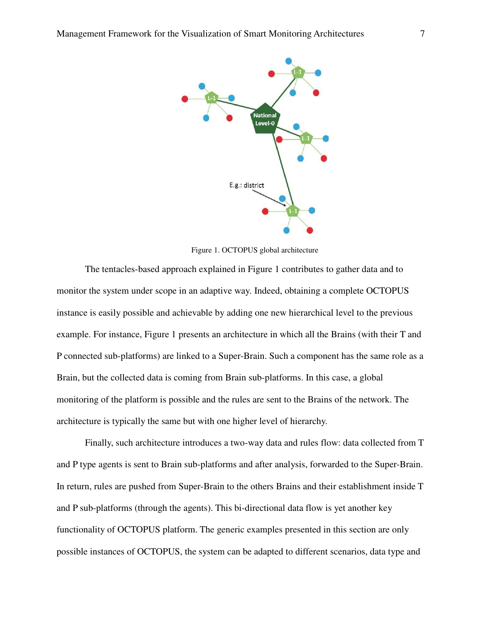

Figure 1. OCTOPUS global architecture

The tentacles-based approach explained in Figure 1 contributes to gather data and to monitor the system under scope in an adaptive way. Indeed, obtaining a complete OCTOPUS instance is easily possible and achievable by adding one new hierarchical level to the previous example. For instance, Figure 1 presents an architecture in which all the Brains (with their T and P connected sub-platforms) are linked to a Super-Brain. Such a component has the same role as a Brain, but the collected data is coming from Brain sub-platforms. In this case, a global monitoring of the platform is possible and the rules are sent to the Brains of the network. The architecture is typically the same but with one higher level of hierarchy.

Finally, such architecture introduces a two-way data and rules flow: data collected from T and P type agents is sent to Brain sub-platforms and after analysis, forwarded to the Super-Brain. In return, rules are pushed from Super-Brain to the others Brains and their establishment inside T and P sub-platforms (through the agents). This bi-directional data flow is yet another key functionality of OCTOPUS platform. The generic examples presented in this section are only possible instances of OCTOPUS, the system can be adapted to different scenarios, data type and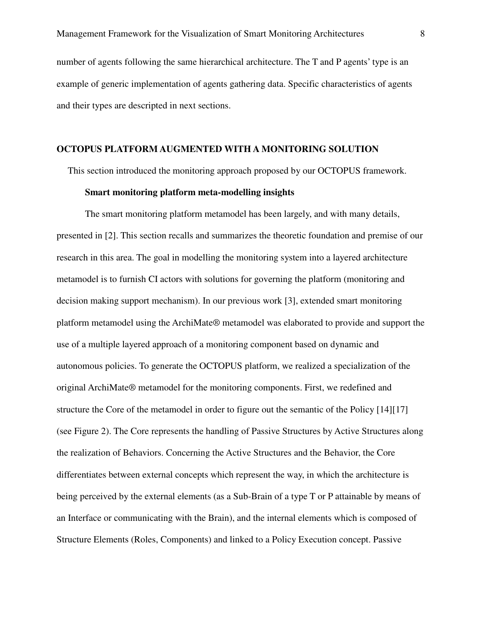number of agents following the same hierarchical architecture. The T and P agents' type is an example of generic implementation of agents gathering data. Specific characteristics of agents and their types are descripted in next sections.

## **OCTOPUS PLATFORM AUGMENTED WITH A MONITORING SOLUTION**

This section introduced the monitoring approach proposed by our OCTOPUS framework.

## **Smart monitoring platform meta-modelling insights**

The smart monitoring platform metamodel has been largely, and with many details, presented in [2]. This section recalls and summarizes the theoretic foundation and premise of our research in this area. The goal in modelling the monitoring system into a layered architecture metamodel is to furnish CI actors with solutions for governing the platform (monitoring and decision making support mechanism). In our previous work [3], extended smart monitoring platform metamodel using the ArchiMate® metamodel was elaborated to provide and support the use of a multiple layered approach of a monitoring component based on dynamic and autonomous policies. To generate the OCTOPUS platform, we realized a specialization of the original ArchiMate® metamodel for the monitoring components. First, we redefined and structure the Core of the metamodel in order to figure out the semantic of the Policy [14][17] (see Figure 2). The Core represents the handling of Passive Structures by Active Structures along the realization of Behaviors. Concerning the Active Structures and the Behavior, the Core differentiates between external concepts which represent the way, in which the architecture is being perceived by the external elements (as a Sub-Brain of a type T or P attainable by means of an Interface or communicating with the Brain), and the internal elements which is composed of Structure Elements (Roles, Components) and linked to a Policy Execution concept. Passive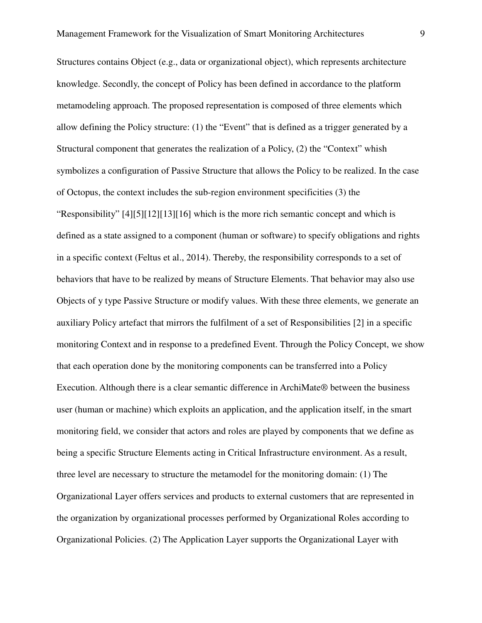Structures contains Object (e.g., data or organizational object), which represents architecture knowledge. Secondly, the concept of Policy has been defined in accordance to the platform metamodeling approach. The proposed representation is composed of three elements which allow defining the Policy structure: (1) the "Event" that is defined as a trigger generated by a Structural component that generates the realization of a Policy, (2) the "Context" whish symbolizes a configuration of Passive Structure that allows the Policy to be realized. In the case of Octopus, the context includes the sub-region environment specificities (3) the "Responsibility" [4][5][12][13][16] which is the more rich semantic concept and which is defined as a state assigned to a component (human or software) to specify obligations and rights in a specific context (Feltus et al., 2014). Thereby, the responsibility corresponds to a set of behaviors that have to be realized by means of Structure Elements. That behavior may also use Objects of y type Passive Structure or modify values. With these three elements, we generate an auxiliary Policy artefact that mirrors the fulfilment of a set of Responsibilities [2] in a specific monitoring Context and in response to a predefined Event. Through the Policy Concept, we show that each operation done by the monitoring components can be transferred into a Policy Execution. Although there is a clear semantic difference in ArchiMate® between the business user (human or machine) which exploits an application, and the application itself, in the smart monitoring field, we consider that actors and roles are played by components that we define as being a specific Structure Elements acting in Critical Infrastructure environment. As a result, three level are necessary to structure the metamodel for the monitoring domain: (1) The Organizational Layer offers services and products to external customers that are represented in the organization by organizational processes performed by Organizational Roles according to Organizational Policies. (2) The Application Layer supports the Organizational Layer with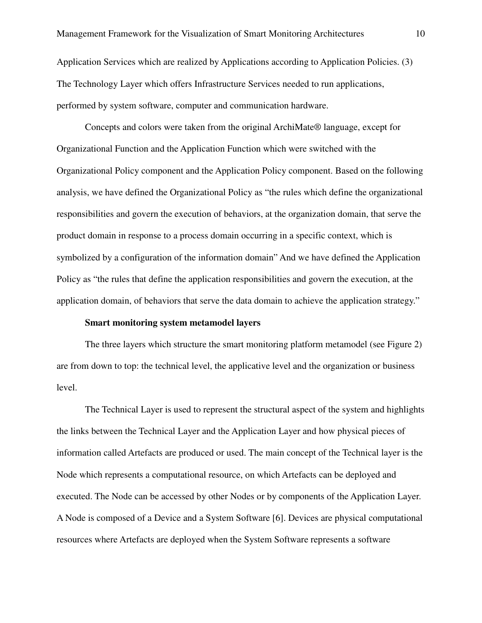Application Services which are realized by Applications according to Application Policies. (3) The Technology Layer which offers Infrastructure Services needed to run applications, performed by system software, computer and communication hardware.

Concepts and colors were taken from the original ArchiMate® language, except for Organizational Function and the Application Function which were switched with the Organizational Policy component and the Application Policy component. Based on the following analysis, we have defined the Organizational Policy as "the rules which define the organizational responsibilities and govern the execution of behaviors, at the organization domain, that serve the product domain in response to a process domain occurring in a specific context, which is symbolized by a configuration of the information domain" And we have defined the Application Policy as "the rules that define the application responsibilities and govern the execution, at the application domain, of behaviors that serve the data domain to achieve the application strategy."

#### **Smart monitoring system metamodel layers**

The three layers which structure the smart monitoring platform metamodel (see Figure 2) are from down to top: the technical level, the applicative level and the organization or business level.

The Technical Layer is used to represent the structural aspect of the system and highlights the links between the Technical Layer and the Application Layer and how physical pieces of information called Artefacts are produced or used. The main concept of the Technical layer is the Node which represents a computational resource, on which Artefacts can be deployed and executed. The Node can be accessed by other Nodes or by components of the Application Layer. A Node is composed of a Device and a System Software [6]. Devices are physical computational resources where Artefacts are deployed when the System Software represents a software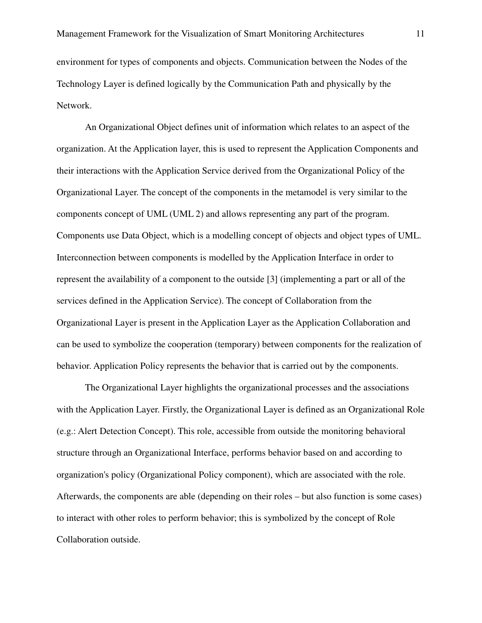Network.

An Organizational Object defines unit of information which relates to an aspect of the organization. At the Application layer, this is used to represent the Application Components and their interactions with the Application Service derived from the Organizational Policy of the Organizational Layer. The concept of the components in the metamodel is very similar to the components concept of UML (UML 2) and allows representing any part of the program. Components use Data Object, which is a modelling concept of objects and object types of UML. Interconnection between components is modelled by the Application Interface in order to represent the availability of a component to the outside [3] (implementing a part or all of the services defined in the Application Service). The concept of Collaboration from the Organizational Layer is present in the Application Layer as the Application Collaboration and can be used to symbolize the cooperation (temporary) between components for the realization of behavior. Application Policy represents the behavior that is carried out by the components.

The Organizational Layer highlights the organizational processes and the associations with the Application Layer. Firstly, the Organizational Layer is defined as an Organizational Role (e.g.: Alert Detection Concept). This role, accessible from outside the monitoring behavioral structure through an Organizational Interface, performs behavior based on and according to organization's policy (Organizational Policy component), which are associated with the role. Afterwards, the components are able (depending on their roles – but also function is some cases) to interact with other roles to perform behavior; this is symbolized by the concept of Role Collaboration outside.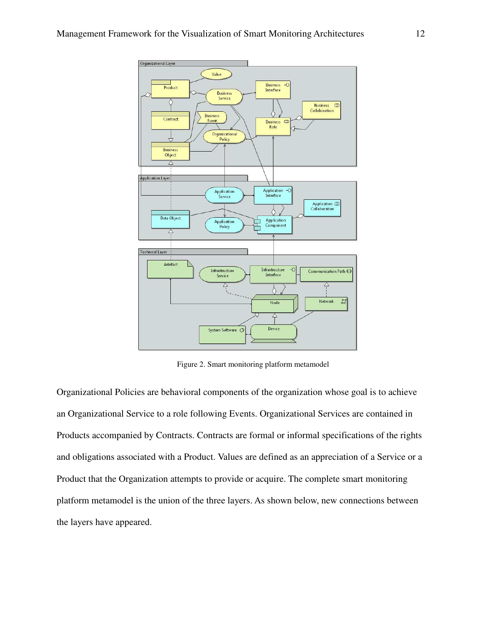

Figure 2. Smart monitoring platform metamodel

Organizational Policies are behavioral components of the organization whose goal is to achieve an Organizational Service to a role following Events. Organizational Services are contained in Products accompanied by Contracts. Contracts are formal or informal specifications of the rights and obligations associated with a Product. Values are defined as an appreciation of a Service or a Product that the Organization attempts to provide or acquire. The complete smart monitoring platform metamodel is the union of the three layers. As shown below, new connections between the layers have appeared.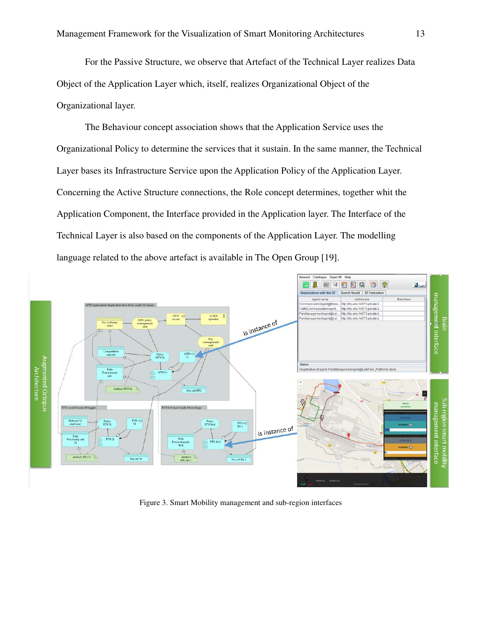For the Passive Structure, we observe that Artefact of the Technical Layer realizes Data Object of the Application Layer which, itself, realizes Organizational Object of the Organizational layer.

The Behaviour concept association shows that the Application Service uses the Organizational Policy to determine the services that it sustain. In the same manner, the Technical Layer bases its Infrastructure Service upon the Application Policy of the Application Layer. Concerning the Active Structure connections, the Role concept determines, together whit the Application Component, the Interface provided in the Application layer. The Interface of the Technical Layer is also based on the components of the Application Layer. The modelling language related to the above artefact is available in The Open Group [19].



Figure 3. Smart Mobility management and sub-region interfaces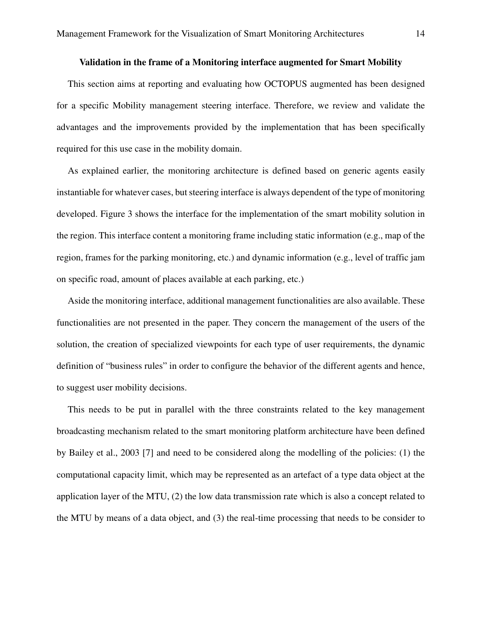## **Validation in the frame of a Monitoring interface augmented for Smart Mobility**

This section aims at reporting and evaluating how OCTOPUS augmented has been designed for a specific Mobility management steering interface. Therefore, we review and validate the advantages and the improvements provided by the implementation that has been specifically required for this use case in the mobility domain.

As explained earlier, the monitoring architecture is defined based on generic agents easily instantiable for whatever cases, but steering interface is always dependent of the type of monitoring developed. Figure 3 shows the interface for the implementation of the smart mobility solution in the region. This interface content a monitoring frame including static information (e.g., map of the region, frames for the parking monitoring, etc.) and dynamic information (e.g., level of traffic jam on specific road, amount of places available at each parking, etc.)

Aside the monitoring interface, additional management functionalities are also available. These functionalities are not presented in the paper. They concern the management of the users of the solution, the creation of specialized viewpoints for each type of user requirements, the dynamic definition of "business rules" in order to configure the behavior of the different agents and hence, to suggest user mobility decisions.

This needs to be put in parallel with the three constraints related to the key management broadcasting mechanism related to the smart monitoring platform architecture have been defined by Bailey et al., 2003 [7] and need to be considered along the modelling of the policies: (1) the computational capacity limit, which may be represented as an artefact of a type data object at the application layer of the MTU, (2) the low data transmission rate which is also a concept related to the MTU by means of a data object, and (3) the real-time processing that needs to be consider to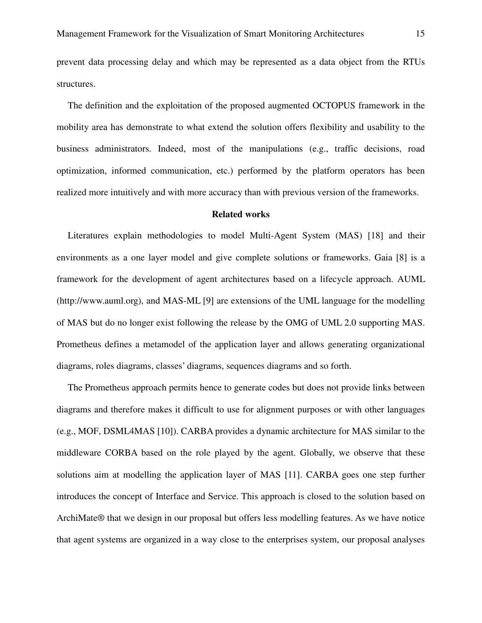prevent data processing delay and which may be represented as a data object from the RTUs structures.

The definition and the exploitation of the proposed augmented OCTOPUS framework in the mobility area has demonstrate to what extend the solution offers flexibility and usability to the business administrators. Indeed, most of the manipulations (e.g., traffic decisions, road optimization, informed communication, etc.) performed by the platform operators has been realized more intuitively and with more accuracy than with previous version of the frameworks.

#### **Related works**

Literatures explain methodologies to model Multi-Agent System (MAS) [18] and their environments as a one layer model and give complete solutions or frameworks. Gaia [8] is a framework for the development of agent architectures based on a lifecycle approach. AUML (http://www.auml.org), and MAS-ML [9] are extensions of the UML language for the modelling of MAS but do no longer exist following the release by the OMG of UML 2.0 supporting MAS. Prometheus defines a metamodel of the application layer and allows generating organizational diagrams, roles diagrams, classes' diagrams, sequences diagrams and so forth.

The Prometheus approach permits hence to generate codes but does not provide links between diagrams and therefore makes it difficult to use for alignment purposes or with other languages (e.g., MOF, DSML4MAS [10]). CARBA provides a dynamic architecture for MAS similar to the middleware CORBA based on the role played by the agent. Globally, we observe that these solutions aim at modelling the application layer of MAS [11]. CARBA goes one step further introduces the concept of Interface and Service. This approach is closed to the solution based on ArchiMate® that we design in our proposal but offers less modelling features. As we have notice that agent systems are organized in a way close to the enterprises system, our proposal analyses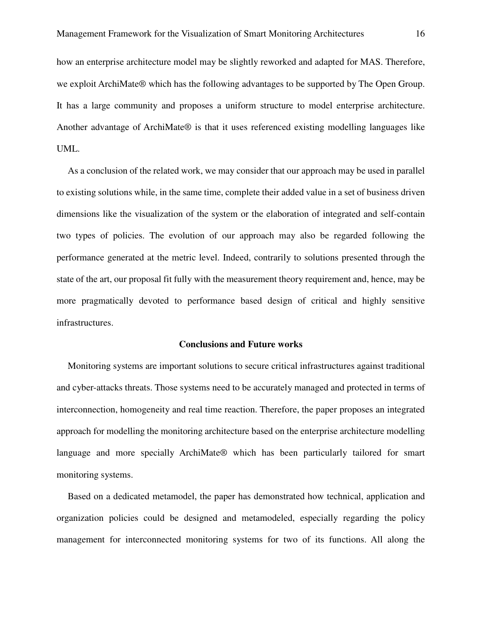how an enterprise architecture model may be slightly reworked and adapted for MAS. Therefore, we exploit ArchiMate® which has the following advantages to be supported by The Open Group. It has a large community and proposes a uniform structure to model enterprise architecture. Another advantage of ArchiMate® is that it uses referenced existing modelling languages like UML.

As a conclusion of the related work, we may consider that our approach may be used in parallel to existing solutions while, in the same time, complete their added value in a set of business driven dimensions like the visualization of the system or the elaboration of integrated and self-contain two types of policies. The evolution of our approach may also be regarded following the performance generated at the metric level. Indeed, contrarily to solutions presented through the state of the art, our proposal fit fully with the measurement theory requirement and, hence, may be more pragmatically devoted to performance based design of critical and highly sensitive infrastructures.

#### **Conclusions and Future works**

Monitoring systems are important solutions to secure critical infrastructures against traditional and cyber-attacks threats. Those systems need to be accurately managed and protected in terms of interconnection, homogeneity and real time reaction. Therefore, the paper proposes an integrated approach for modelling the monitoring architecture based on the enterprise architecture modelling language and more specially ArchiMate® which has been particularly tailored for smart monitoring systems.

Based on a dedicated metamodel, the paper has demonstrated how technical, application and organization policies could be designed and metamodeled, especially regarding the policy management for interconnected monitoring systems for two of its functions. All along the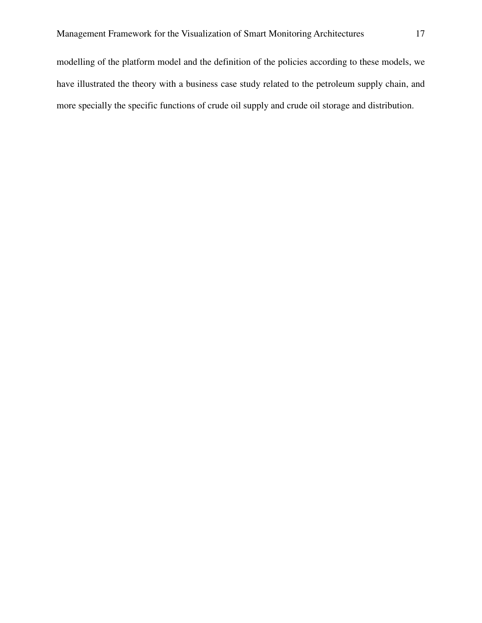modelling of the platform model and the definition of the policies according to these models, we have illustrated the theory with a business case study related to the petroleum supply chain, and more specially the specific functions of crude oil supply and crude oil storage and distribution.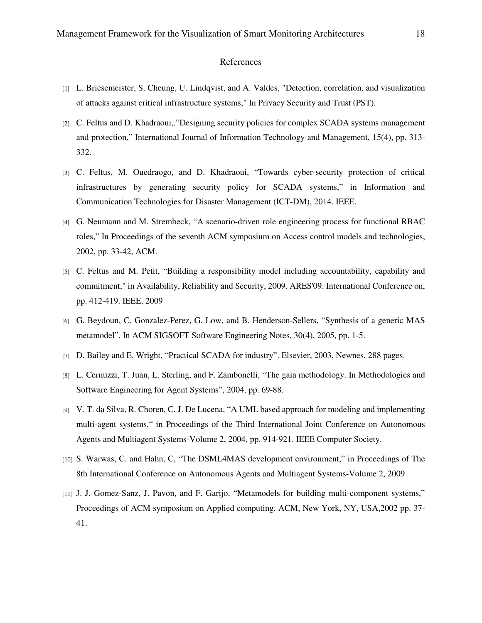### References

- [1] L. Briesemeister, S. Cheung, U. Lindqvist, and A. Valdes, "Detection, correlation, and visualization of attacks against critical infrastructure systems," In Privacy Security and Trust (PST).
- [2] C. Feltus and D. Khadraoui,."Designing security policies for complex SCADA systems management and protection," International Journal of Information Technology and Management, 15(4), pp. 313- 332.
- [3] C. Feltus, M. Ouedraogo, and D. Khadraoui, "Towards cyber-security protection of critical infrastructures by generating security policy for SCADA systems," in Information and Communication Technologies for Disaster Management (ICT-DM), 2014. IEEE.
- [4] G. Neumann and M. Strembeck, "A scenario-driven role engineering process for functional RBAC roles," In Proceedings of the seventh ACM symposium on Access control models and technologies, 2002, pp. 33-42, ACM.
- [5] C. Feltus and M. Petit, "Building a responsibility model including accountability, capability and commitment," in Availability, Reliability and Security, 2009. ARES'09. International Conference on, pp. 412-419. IEEE, 2009
- [6] G. Beydoun, C. Gonzalez-Perez, G. Low, and B. Henderson-Sellers, "Synthesis of a generic MAS metamodel". In ACM SIGSOFT Software Engineering Notes, 30(4), 2005, pp. 1-5.
- [7] D. Bailey and E. Wright, "Practical SCADA for industry". Elsevier, 2003, Newnes, 288 pages.
- [8] L. Cernuzzi, T. Juan, L. Sterling, and F. Zambonelli, "The gaia methodology. In Methodologies and Software Engineering for Agent Systems", 2004, pp. 69-88.
- [9] V. T. da Silva, R. Choren, C. J. De Lucena, "A UML based approach for modeling and implementing multi-agent systems," in Proceedings of the Third International Joint Conference on Autonomous Agents and Multiagent Systems-Volume 2, 2004, pp. 914-921. IEEE Computer Society.
- [10] S. Warwas, C. and Hahn, C, "The DSML4MAS development environment," in Proceedings of The 8th International Conference on Autonomous Agents and Multiagent Systems-Volume 2, 2009.
- [11] J. J. Gomez-Sanz, J. Pavon, and F. Garijo, "Metamodels for building multi-component systems," Proceedings of ACM symposium on Applied computing. ACM, New York, NY, USA,2002 pp. 37- 41.